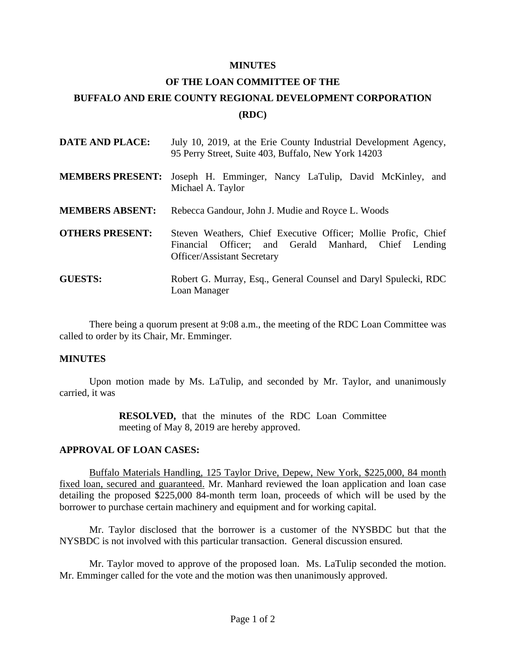#### **MINUTES**

# **OF THE LOAN COMMITTEE OF THE BUFFALO AND ERIE COUNTY REGIONAL DEVELOPMENT CORPORATION (RDC)**

| <b>DATE AND PLACE:</b>  | July 10, 2019, at the Erie County Industrial Development Agency,<br>95 Perry Street, Suite 403, Buffalo, New York 14203                                      |
|-------------------------|--------------------------------------------------------------------------------------------------------------------------------------------------------------|
| <b>MEMBERS PRESENT:</b> | Joseph H. Emminger, Nancy LaTulip, David McKinley, and<br>Michael A. Taylor                                                                                  |
| <b>MEMBERS ABSENT:</b>  | Rebecca Gandour, John J. Mudie and Royce L. Woods                                                                                                            |
| <b>OTHERS PRESENT:</b>  | Steven Weathers, Chief Executive Officer; Mollie Profic, Chief<br>Financial Officer; and Gerald Manhard, Chief Lending<br><b>Officer/Assistant Secretary</b> |
| <b>GUESTS:</b>          | Robert G. Murray, Esq., General Counsel and Daryl Spulecki, RDC<br>Loan Manager                                                                              |

There being a quorum present at 9:08 a.m., the meeting of the RDC Loan Committee was called to order by its Chair, Mr. Emminger.

## **MINUTES**

Upon motion made by Ms. LaTulip, and seconded by Mr. Taylor, and unanimously carried, it was

> **RESOLVED,** that the minutes of the RDC Loan Committee meeting of May 8, 2019 are hereby approved.

## **APPROVAL OF LOAN CASES:**

Buffalo Materials Handling, 125 Taylor Drive, Depew, New York, \$225,000, 84 month fixed loan, secured and guaranteed. Mr. Manhard reviewed the loan application and loan case detailing the proposed \$225,000 84-month term loan, proceeds of which will be used by the borrower to purchase certain machinery and equipment and for working capital.

Mr. Taylor disclosed that the borrower is a customer of the NYSBDC but that the NYSBDC is not involved with this particular transaction. General discussion ensured.

Mr. Taylor moved to approve of the proposed loan. Ms. LaTulip seconded the motion. Mr. Emminger called for the vote and the motion was then unanimously approved.